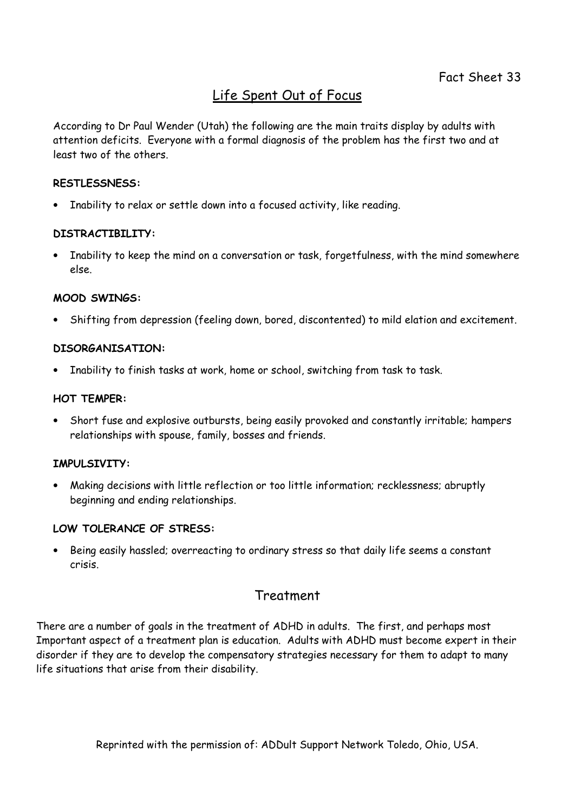## Life Spent Out of Focus

According to Dr Paul Wender (Utah) the following are the main traits display by adults with attention deficits. Everyone with a formal diagnosis of the problem has the first two and at least two of the others.

#### RESTLESSNESS:

• Inability to relax or settle down into a focused activity, like reading.

#### DISTRACTIBILITY:

• Inability to keep the mind on a conversation or task, forgetfulness, with the mind somewhere else.

#### MOOD SWINGS:

• Shifting from depression (feeling down, bored, discontented) to mild elation and excitement.

#### DISORGANISATION:

Inability to finish tasks at work, home or school, switching from task to task.

#### HOT TEMPER:

• Short fuse and explosive outbursts, being easily provoked and constantly irritable; hampers relationships with spouse, family, bosses and friends.

#### IMPULSIVITY:

• Making decisions with little reflection or too little information; recklessness; abruptly beginning and ending relationships.

#### LOW TOLERANCE OF STRESS:

• Being easily hassled; overreacting to ordinary stress so that daily life seems a constant crisis.

### Treatment

There are a number of goals in the treatment of ADHD in adults. The first, and perhaps most Important aspect of a treatment plan is education. Adults with ADHD must become expert in their disorder if they are to develop the compensatory strategies necessary for them to adapt to many life situations that arise from their disability.